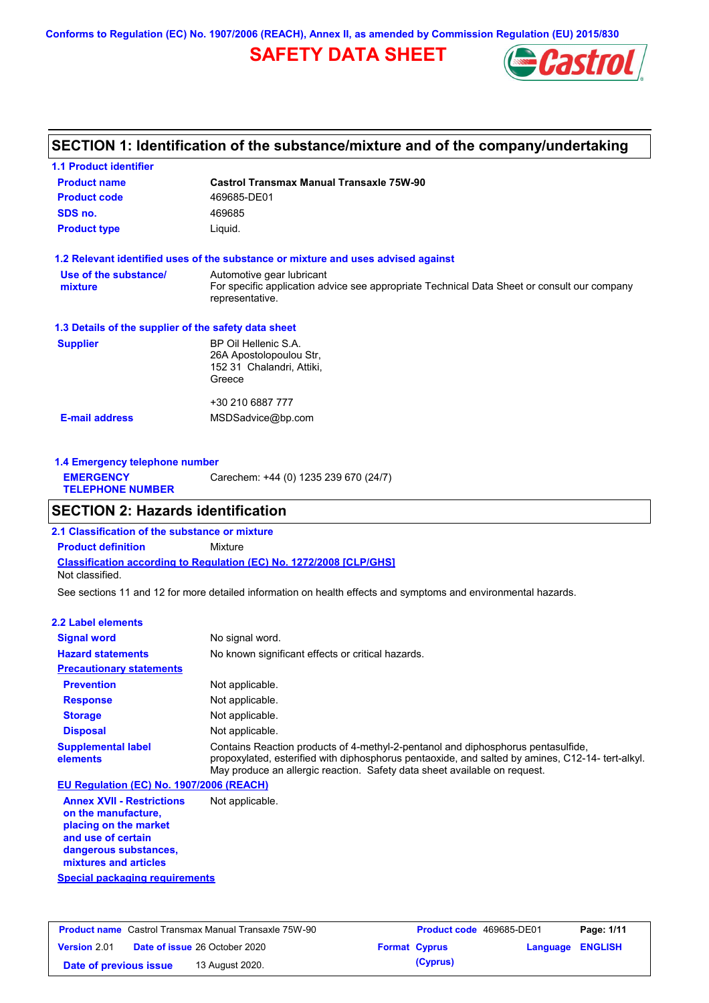**Conforms to Regulation (EC) No. 1907/2006 (REACH), Annex II, as amended by Commission Regulation (EU) 2015/830**

# **SAFETY DATA SHEET**



### **SECTION 1: Identification of the substance/mixture and of the company/undertaking**

| <b>1.1 Product identifier</b>                        |                                                                                                                                             |
|------------------------------------------------------|---------------------------------------------------------------------------------------------------------------------------------------------|
| <b>Product name</b>                                  | <b>Castrol Transmax Manual Transaxle 75W-90</b>                                                                                             |
| <b>Product code</b>                                  | 469685-DE01                                                                                                                                 |
| SDS no.                                              | 469685                                                                                                                                      |
| <b>Product type</b>                                  | Liquid.                                                                                                                                     |
|                                                      | 1.2 Relevant identified uses of the substance or mixture and uses advised against                                                           |
| Use of the substance/<br>mixture                     | Automotive gear lubricant<br>For specific application advice see appropriate Technical Data Sheet or consult our company<br>representative. |
| 1.3 Details of the supplier of the safety data sheet |                                                                                                                                             |
| <b>Supplier</b>                                      | BP Oil Hellenic S.A.<br>26A Apostolopoulou Str,<br>152 31 Chalandri, Attiki,<br>Greece                                                      |
|                                                      | +30 210 6887 777                                                                                                                            |
| <b>E-mail address</b>                                | MSDSadvice@bp.com                                                                                                                           |
|                                                      |                                                                                                                                             |

| 1.4 Emergency telephone number              |                                       |  |  |  |
|---------------------------------------------|---------------------------------------|--|--|--|
| <b>EMERGENCY</b><br><b>TELEPHONE NUMBER</b> | Carechem: +44 (0) 1235 239 670 (24/7) |  |  |  |
|                                             |                                       |  |  |  |

### **SECTION 2: Hazards identification**

**Classification according to Regulation (EC) No. 1272/2008 [CLP/GHS] 2.1 Classification of the substance or mixture Product definition** Mixture Not classified.

See sections 11 and 12 for more detailed information on health effects and symptoms and environmental hazards.

#### **2.2 Label elements**

| <b>Signal word</b>                       | No signal word.                                                                                                                                                                                                                                                   |
|------------------------------------------|-------------------------------------------------------------------------------------------------------------------------------------------------------------------------------------------------------------------------------------------------------------------|
| <b>Hazard statements</b>                 | No known significant effects or critical hazards.                                                                                                                                                                                                                 |
| <b>Precautionary statements</b>          |                                                                                                                                                                                                                                                                   |
| <b>Prevention</b>                        | Not applicable.                                                                                                                                                                                                                                                   |
| <b>Response</b>                          | Not applicable.                                                                                                                                                                                                                                                   |
| <b>Storage</b>                           | Not applicable.                                                                                                                                                                                                                                                   |
| <b>Disposal</b>                          | Not applicable.                                                                                                                                                                                                                                                   |
| <b>Supplemental label</b><br>elements    | Contains Reaction products of 4-methyl-2-pentanol and diphosphorus pentasulfide,<br>propoxylated, esterified with diphosphorus pentaoxide, and salted by amines, C12-14- tert-alkyl.<br>May produce an allergic reaction. Safety data sheet available on request. |
| EU Regulation (EC) No. 1907/2006 (REACH) |                                                                                                                                                                                                                                                                   |
| <b>Annex XVII - Restrictions</b>         | Not applicable.                                                                                                                                                                                                                                                   |

**Annex XVII - Restrictions on the manufacture, placing on the market and use of certain dangerous substances, mixtures and articles**

**Special packaging requirements**

| <b>Product name</b> Castrol Transmax Manual Transaxle 75W-90 |  | <b>Product code</b> 469685-DE01      |                      | Page: 1/11 |                         |  |
|--------------------------------------------------------------|--|--------------------------------------|----------------------|------------|-------------------------|--|
| <b>Version 2.01</b>                                          |  | <b>Date of issue 26 October 2020</b> | <b>Format Cyprus</b> |            | <b>Language ENGLISH</b> |  |
| Date of previous issue                                       |  | 13 August 2020.                      |                      | (Cyprus)   |                         |  |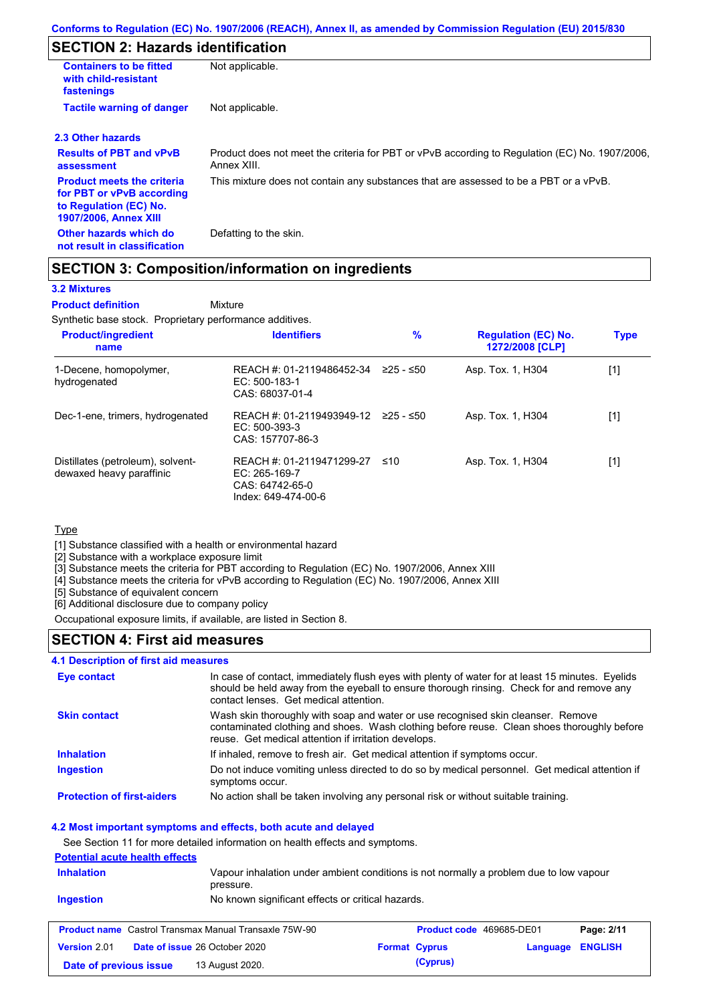# **SECTION 2: Hazards identification**

| <b>Containers to be fitted</b><br>with child-resistant<br>fastenings                                                     | Not applicable.                                                                                               |
|--------------------------------------------------------------------------------------------------------------------------|---------------------------------------------------------------------------------------------------------------|
| <b>Tactile warning of danger</b>                                                                                         | Not applicable.                                                                                               |
| 2.3 Other hazards                                                                                                        |                                                                                                               |
| <b>Results of PBT and vPvB</b><br>assessment                                                                             | Product does not meet the criteria for PBT or vPvB according to Regulation (EC) No. 1907/2006,<br>Annex XIII. |
| <b>Product meets the criteria</b><br>for PBT or vPvB according<br>to Regulation (EC) No.<br><b>1907/2006, Annex XIII</b> | This mixture does not contain any substances that are assessed to be a PBT or a vPvB.                         |
| Other hazards which do<br>not result in classification                                                                   | Defatting to the skin.                                                                                        |

### **SECTION 3: Composition/information on ingredients**

Mixture

#### **3.2 Mixtures**

**Product definition**

Synthetic base stock. Proprietary performance additives.

| <b>Product/ingredient</b><br>name                             | <b>Identifiers</b>                                                                     | $\%$      | <b>Regulation (EC) No.</b><br>1272/2008 [CLP] | <b>Type</b> |
|---------------------------------------------------------------|----------------------------------------------------------------------------------------|-----------|-----------------------------------------------|-------------|
| 1-Decene, homopolymer,<br>hydrogenated                        | REACH #: 01-2119486452-34<br>EC: 500-183-1<br>CAS: 68037-01-4                          | ≥25 - ≤50 | Asp. Tox. 1, H304                             | $[1]$       |
| Dec-1-ene, trimers, hydrogenated                              | REACH #: 01-2119493949-12 ≥25 - ≤50<br>$EC: 500-393-3$<br>CAS: 157707-86-3             |           | Asp. Tox. 1, H304                             | [1]         |
| Distillates (petroleum), solvent-<br>dewaxed heavy paraffinic | REACH #: 01-2119471299-27<br>$EC: 265-169-7$<br>CAS: 64742-65-0<br>Index: 649-474-00-6 | ≤10       | Asp. Tox. 1, H304                             | [1]         |

#### **Type**

[1] Substance classified with a health or environmental hazard

[2] Substance with a workplace exposure limit

[3] Substance meets the criteria for PBT according to Regulation (EC) No. 1907/2006, Annex XIII

[4] Substance meets the criteria for vPvB according to Regulation (EC) No. 1907/2006, Annex XIII

[5] Substance of equivalent concern

[6] Additional disclosure due to company policy

Occupational exposure limits, if available, are listed in Section 8.

#### **SECTION 4: First aid measures**

#### **4.1 Description of first aid measures**

| <b>Eye contact</b>                | In case of contact, immediately flush eyes with plenty of water for at least 15 minutes. Eyelids<br>should be held away from the eyeball to ensure thorough rinsing. Check for and remove any<br>contact lenses. Get medical attention. |
|-----------------------------------|-----------------------------------------------------------------------------------------------------------------------------------------------------------------------------------------------------------------------------------------|
| <b>Skin contact</b>               | Wash skin thoroughly with soap and water or use recognised skin cleanser. Remove<br>contaminated clothing and shoes. Wash clothing before reuse. Clean shoes thoroughly before<br>reuse. Get medical attention if irritation develops.  |
| <b>Inhalation</b>                 | If inhaled, remove to fresh air. Get medical attention if symptoms occur.                                                                                                                                                               |
| <b>Ingestion</b>                  | Do not induce vomiting unless directed to do so by medical personnel. Get medical attention if<br>symptoms occur.                                                                                                                       |
| <b>Protection of first-aiders</b> | No action shall be taken involving any personal risk or without suitable training.                                                                                                                                                      |

#### **4.2 Most important symptoms and effects, both acute and delayed**

See Section 11 for more detailed information on health effects and symptoms.

#### **Potential acute health effects Inhalation** Vapour inhalation under ambient conditions is not normally a problem due to low vapour

| Ingestion           | No known significant effects or critical hazards.                                        |
|---------------------|------------------------------------------------------------------------------------------|
|                     | pressure.                                                                                |
| <u>IIIIalativii</u> | vapour imitatation unider ambient conditions is not nomially a problem due to low vapour |

| <b>Product name</b> Castrol Transmax Manual Transaxle 75W-90 |  | <b>Product code</b> 469685-DE01      |  | Page: 2/11           |                         |  |
|--------------------------------------------------------------|--|--------------------------------------|--|----------------------|-------------------------|--|
| Version 2.01                                                 |  | <b>Date of issue 26 October 2020</b> |  | <b>Format Cyprus</b> | <b>Language ENGLISH</b> |  |
| Date of previous issue                                       |  | 13 August 2020.                      |  | (Cyprus)             |                         |  |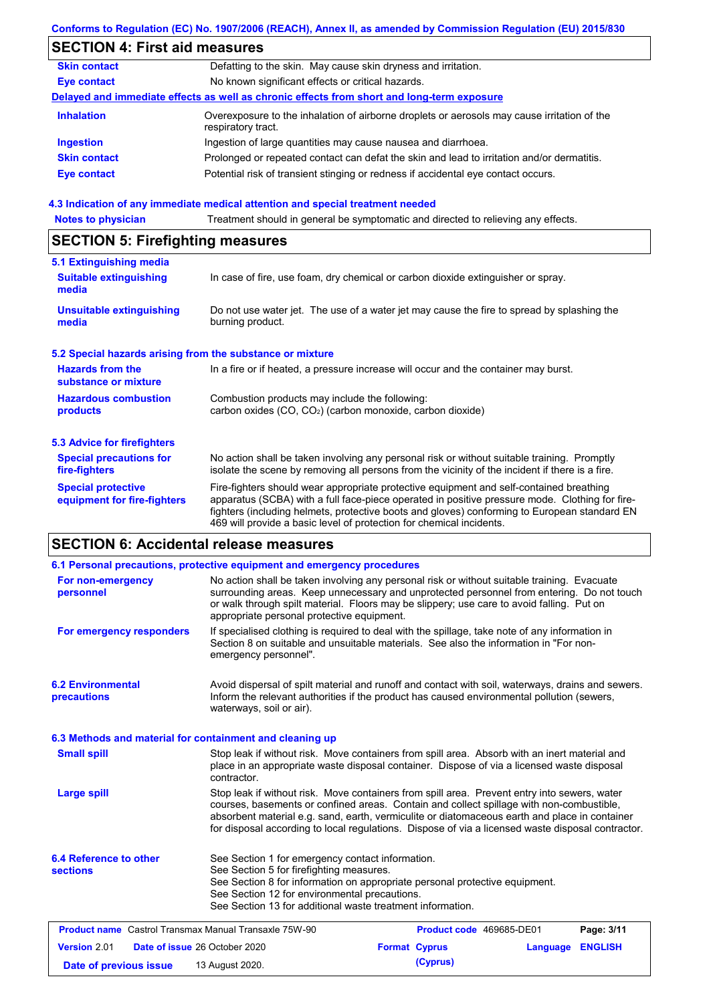|                                                           | Conforms to Regulation (EC) No. 1907/2006 (REACH), Annex II, as amended by Commission Regulation (EU) 2015/830                                                                                                                                                                                                                                                    |  |  |  |  |
|-----------------------------------------------------------|-------------------------------------------------------------------------------------------------------------------------------------------------------------------------------------------------------------------------------------------------------------------------------------------------------------------------------------------------------------------|--|--|--|--|
| <b>SECTION 4: First aid measures</b>                      |                                                                                                                                                                                                                                                                                                                                                                   |  |  |  |  |
| <b>Skin contact</b>                                       | Defatting to the skin. May cause skin dryness and irritation.                                                                                                                                                                                                                                                                                                     |  |  |  |  |
| <b>Eye contact</b>                                        | No known significant effects or critical hazards.                                                                                                                                                                                                                                                                                                                 |  |  |  |  |
|                                                           | Delayed and immediate effects as well as chronic effects from short and long-term exposure                                                                                                                                                                                                                                                                        |  |  |  |  |
| <b>Inhalation</b>                                         | Overexposure to the inhalation of airborne droplets or aerosols may cause irritation of the<br>respiratory tract.                                                                                                                                                                                                                                                 |  |  |  |  |
| <b>Ingestion</b>                                          | Ingestion of large quantities may cause nausea and diarrhoea.                                                                                                                                                                                                                                                                                                     |  |  |  |  |
| <b>Skin contact</b>                                       | Prolonged or repeated contact can defat the skin and lead to irritation and/or dermatitis.                                                                                                                                                                                                                                                                        |  |  |  |  |
| <b>Eye contact</b>                                        | Potential risk of transient stinging or redness if accidental eye contact occurs.                                                                                                                                                                                                                                                                                 |  |  |  |  |
|                                                           | 4.3 Indication of any immediate medical attention and special treatment needed                                                                                                                                                                                                                                                                                    |  |  |  |  |
| <b>Notes to physician</b>                                 | Treatment should in general be symptomatic and directed to relieving any effects.                                                                                                                                                                                                                                                                                 |  |  |  |  |
| <b>SECTION 5: Firefighting measures</b>                   |                                                                                                                                                                                                                                                                                                                                                                   |  |  |  |  |
| 5.1 Extinguishing media                                   |                                                                                                                                                                                                                                                                                                                                                                   |  |  |  |  |
| <b>Suitable extinguishing</b><br>media                    | In case of fire, use foam, dry chemical or carbon dioxide extinguisher or spray.                                                                                                                                                                                                                                                                                  |  |  |  |  |
| <b>Unsuitable extinguishing</b><br>media                  | Do not use water jet. The use of a water jet may cause the fire to spread by splashing the<br>burning product.                                                                                                                                                                                                                                                    |  |  |  |  |
| 5.2 Special hazards arising from the substance or mixture |                                                                                                                                                                                                                                                                                                                                                                   |  |  |  |  |
| <b>Hazards from the</b><br>substance or mixture           | In a fire or if heated, a pressure increase will occur and the container may burst.                                                                                                                                                                                                                                                                               |  |  |  |  |
| <b>Hazardous combustion</b><br>products                   | Combustion products may include the following:<br>carbon oxides (CO, CO <sub>2</sub> ) (carbon monoxide, carbon dioxide)                                                                                                                                                                                                                                          |  |  |  |  |
| <b>5.3 Advice for firefighters</b>                        |                                                                                                                                                                                                                                                                                                                                                                   |  |  |  |  |
| <b>Special precautions for</b><br>fire-fighters           | No action shall be taken involving any personal risk or without suitable training. Promptly<br>isolate the scene by removing all persons from the vicinity of the incident if there is a fire.                                                                                                                                                                    |  |  |  |  |
| <b>Special protective</b><br>equipment for fire-fighters  | Fire-fighters should wear appropriate protective equipment and self-contained breathing<br>apparatus (SCBA) with a full face-piece operated in positive pressure mode. Clothing for fire-<br>fighters (including helmets, protective boots and gloves) conforming to European standard EN<br>469 will provide a basic level of protection for chemical incidents. |  |  |  |  |
| <b>SECTION 6: Accidental release measures</b>             |                                                                                                                                                                                                                                                                                                                                                                   |  |  |  |  |
|                                                           |                                                                                                                                                                                                                                                                                                                                                                   |  |  |  |  |

|                                                                                                                                                                                                                                                                                                                                                                                                                      | 6.1 Personal precautions, protective equipment and emergency procedures                                                                                                                                                                                                                                                             |                          |          |                |
|----------------------------------------------------------------------------------------------------------------------------------------------------------------------------------------------------------------------------------------------------------------------------------------------------------------------------------------------------------------------------------------------------------------------|-------------------------------------------------------------------------------------------------------------------------------------------------------------------------------------------------------------------------------------------------------------------------------------------------------------------------------------|--------------------------|----------|----------------|
| For non-emergency<br>personnel                                                                                                                                                                                                                                                                                                                                                                                       | No action shall be taken involving any personal risk or without suitable training. Evacuate<br>surrounding areas. Keep unnecessary and unprotected personnel from entering. Do not touch<br>or walk through spilt material. Floors may be slippery; use care to avoid falling. Put on<br>appropriate personal protective equipment. |                          |          |                |
| For emergency responders<br>If specialised clothing is required to deal with the spillage, take note of any information in<br>Section 8 on suitable and unsuitable materials. See also the information in "For non-<br>emergency personnel".                                                                                                                                                                         |                                                                                                                                                                                                                                                                                                                                     |                          |          |                |
| <b>6.2 Environmental</b><br>Avoid dispersal of spilt material and runoff and contact with soil, waterways, drains and sewers.<br>Inform the relevant authorities if the product has caused environmental pollution (sewers,<br>precautions<br>waterways, soil or air).                                                                                                                                               |                                                                                                                                                                                                                                                                                                                                     |                          |          |                |
| 6.3 Methods and material for containment and cleaning up                                                                                                                                                                                                                                                                                                                                                             |                                                                                                                                                                                                                                                                                                                                     |                          |          |                |
| <b>Small spill</b><br>Stop leak if without risk. Move containers from spill area. Absorb with an inert material and<br>place in an appropriate waste disposal container. Dispose of via a licensed waste disposal<br>contractor.                                                                                                                                                                                     |                                                                                                                                                                                                                                                                                                                                     |                          |          |                |
| Stop leak if without risk. Move containers from spill area. Prevent entry into sewers, water<br><b>Large spill</b><br>courses, basements or confined areas. Contain and collect spillage with non-combustible,<br>absorbent material e.g. sand, earth, vermiculite or diatomaceous earth and place in container<br>for disposal according to local regulations. Dispose of via a licensed waste disposal contractor. |                                                                                                                                                                                                                                                                                                                                     |                          |          |                |
| 6.4 Reference to other<br>See Section 1 for emergency contact information.<br>See Section 5 for firefighting measures.<br><b>sections</b><br>See Section 8 for information on appropriate personal protective equipment.<br>See Section 12 for environmental precautions.<br>See Section 13 for additional waste treatment information.                                                                              |                                                                                                                                                                                                                                                                                                                                     |                          |          |                |
| <b>Product name</b> Castrol Transmax Manual Transaxle 75W-90                                                                                                                                                                                                                                                                                                                                                         |                                                                                                                                                                                                                                                                                                                                     | Product code 469685-DE01 |          | Page: 3/11     |
| Version 2.01                                                                                                                                                                                                                                                                                                                                                                                                         | <b>Date of issue 26 October 2020</b>                                                                                                                                                                                                                                                                                                | <b>Format Cyprus</b>     | Language | <b>ENGLISH</b> |
| Date of previous issue                                                                                                                                                                                                                                                                                                                                                                                               | 13 August 2020.                                                                                                                                                                                                                                                                                                                     | (Cyprus)                 |          |                |

 $\mathsf{l}$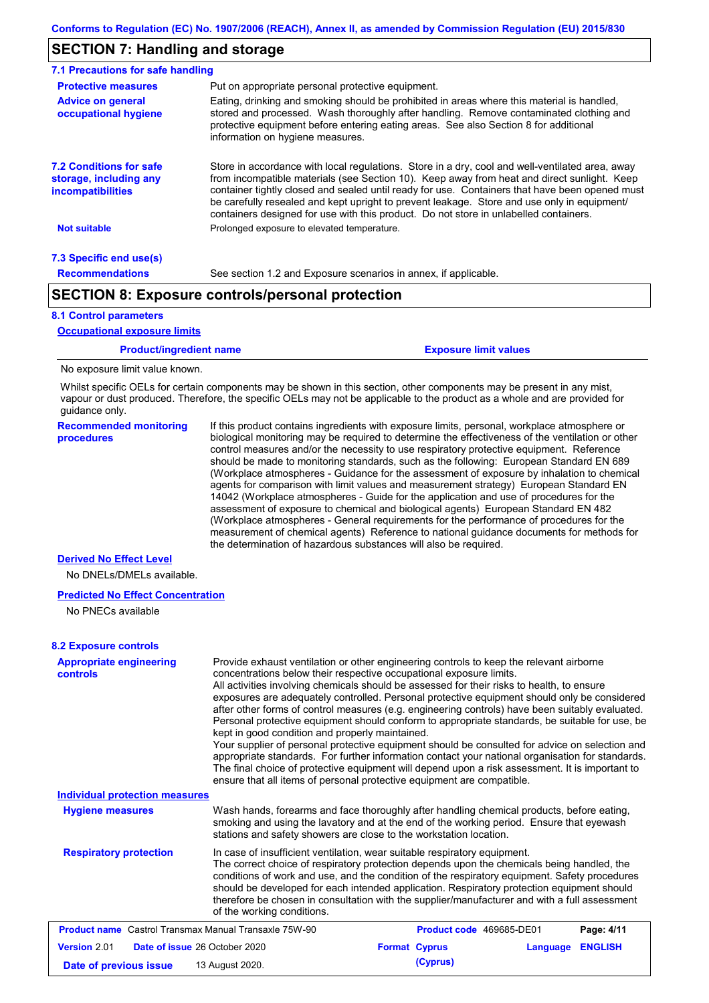### **SECTION 7: Handling and storage**

| 7.1 Precautions for safe handling                                             |                                                                                                                                                                                                                                                                                                                                                                                                                                                                                          |  |  |  |  |  |
|-------------------------------------------------------------------------------|------------------------------------------------------------------------------------------------------------------------------------------------------------------------------------------------------------------------------------------------------------------------------------------------------------------------------------------------------------------------------------------------------------------------------------------------------------------------------------------|--|--|--|--|--|
| <b>Protective measures</b>                                                    | Put on appropriate personal protective equipment.                                                                                                                                                                                                                                                                                                                                                                                                                                        |  |  |  |  |  |
| <b>Advice on general</b><br>occupational hygiene                              | Eating, drinking and smoking should be prohibited in areas where this material is handled.<br>stored and processed. Wash thoroughly after handling. Remove contaminated clothing and<br>protective equipment before entering eating areas. See also Section 8 for additional<br>information on hygiene measures.                                                                                                                                                                         |  |  |  |  |  |
| <b>7.2 Conditions for safe</b><br>storage, including any<br>incompatibilities | Store in accordance with local regulations. Store in a dry, cool and well-ventilated area, away<br>from incompatible materials (see Section 10). Keep away from heat and direct sunlight. Keep<br>container tightly closed and sealed until ready for use. Containers that have been opened must<br>be carefully resealed and kept upright to prevent leakage. Store and use only in equipment/<br>containers designed for use with this product. Do not store in unlabelled containers. |  |  |  |  |  |
| <b>Not suitable</b>                                                           | Prolonged exposure to elevated temperature.                                                                                                                                                                                                                                                                                                                                                                                                                                              |  |  |  |  |  |
| 7.3 Specific end use(s)                                                       |                                                                                                                                                                                                                                                                                                                                                                                                                                                                                          |  |  |  |  |  |
| <b>Recommendations</b>                                                        | See section 1.2 and Exposure scenarios in annex, if applicable.                                                                                                                                                                                                                                                                                                                                                                                                                          |  |  |  |  |  |
|                                                                               | <b>SECTION 8: Exposure controls/personal protection</b>                                                                                                                                                                                                                                                                                                                                                                                                                                  |  |  |  |  |  |

#### **8.1 Control parameters**

**Occupational exposure limits**

#### **Product/ingredient name Exposure limit values Recommended monitoring procedures** No exposure limit value known. If this product contains ingredients with exposure limits, personal, workplace atmosphere or biological monitoring may be required to determine the effectiveness of the ventilation or other control measures and/or the necessity to use respiratory protective equipment. Reference should be made to monitoring standards, such as the following: European Standard EN 689 (Workplace atmospheres - Guidance for the assessment of exposure by inhalation to chemical agents for comparison with limit values and measurement strategy) European Standard EN 14042 (Workplace atmospheres - Guide for the application and use of procedures for the assessment of exposure to chemical and biological agents) European Standard EN 482 Whilst specific OELs for certain components may be shown in this section, other components may be present in any mist, vapour or dust produced. Therefore, the specific OELs may not be applicable to the product as a whole and are provided for guidance only.

the determination of hazardous substances will also be required.

(Workplace atmospheres - General requirements for the performance of procedures for the measurement of chemical agents) Reference to national guidance documents for methods for

#### **Derived No Effect Level**

No DNELs/DMELs available.

#### **Predicted No Effect Concentration**

No PNECs available

#### **8.2 Exposure controls**

| <b>Appropriate engineering</b><br><b>controls</b> | kept in good condition and properly maintained.                    | Provide exhaust ventilation or other engineering controls to keep the relevant airborne<br>concentrations below their respective occupational exposure limits.<br>All activities involving chemicals should be assessed for their risks to health, to ensure<br>exposures are adequately controlled. Personal protective equipment should only be considered<br>after other forms of control measures (e.g. engineering controls) have been suitably evaluated.<br>Personal protective equipment should conform to appropriate standards, be suitable for use, be<br>Your supplier of personal protective equipment should be consulted for advice on selection and<br>appropriate standards. For further information contact your national organisation for standards.<br>The final choice of protective equipment will depend upon a risk assessment. It is important to<br>ensure that all items of personal protective equipment are compatible. |                            |
|---------------------------------------------------|--------------------------------------------------------------------|------------------------------------------------------------------------------------------------------------------------------------------------------------------------------------------------------------------------------------------------------------------------------------------------------------------------------------------------------------------------------------------------------------------------------------------------------------------------------------------------------------------------------------------------------------------------------------------------------------------------------------------------------------------------------------------------------------------------------------------------------------------------------------------------------------------------------------------------------------------------------------------------------------------------------------------------------|----------------------------|
| <b>Individual protection measures</b>             |                                                                    |                                                                                                                                                                                                                                                                                                                                                                                                                                                                                                                                                                                                                                                                                                                                                                                                                                                                                                                                                      |                            |
| <b>Hygiene measures</b>                           | stations and safety showers are close to the workstation location. | Wash hands, forearms and face thoroughly after handling chemical products, before eating,<br>smoking and using the lavatory and at the end of the working period. Ensure that eyewash                                                                                                                                                                                                                                                                                                                                                                                                                                                                                                                                                                                                                                                                                                                                                                |                            |
| <b>Respiratory protection</b>                     | of the working conditions.                                         | In case of insufficient ventilation, wear suitable respiratory equipment.<br>The correct choice of respiratory protection depends upon the chemicals being handled, the<br>conditions of work and use, and the condition of the respiratory equipment. Safety procedures<br>should be developed for each intended application. Respiratory protection equipment should<br>therefore be chosen in consultation with the supplier/manufacturer and with a full assessment                                                                                                                                                                                                                                                                                                                                                                                                                                                                              |                            |
|                                                   | <b>Product name</b> Castrol Transmax Manual Transaxle 75W-90       | Product code 469685-DE01                                                                                                                                                                                                                                                                                                                                                                                                                                                                                                                                                                                                                                                                                                                                                                                                                                                                                                                             | Page: 4/11                 |
| Version 2.01                                      | Date of issue 26 October 2020                                      | <b>Format Cyprus</b>                                                                                                                                                                                                                                                                                                                                                                                                                                                                                                                                                                                                                                                                                                                                                                                                                                                                                                                                 | <b>ENGLISH</b><br>Language |
| Date of previous issue                            | 13 August 2020.                                                    | (Cyprus)                                                                                                                                                                                                                                                                                                                                                                                                                                                                                                                                                                                                                                                                                                                                                                                                                                                                                                                                             |                            |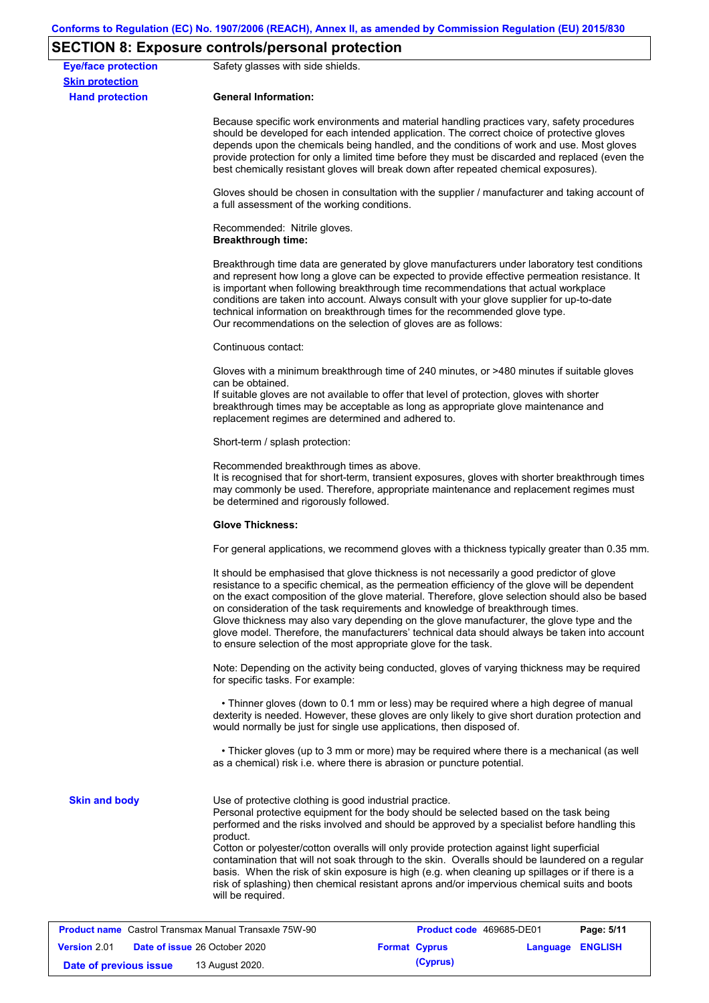## **SECTION 8: Exposure controls/personal protection**

| <b>Eye/face protection</b><br><b>Skin protection</b>         | Safety glasses with side shields.                                                        |                                                                                                                                                                                                                                                                                                                                                                                                                                                                                                                                                                                                                                                   |                  |
|--------------------------------------------------------------|------------------------------------------------------------------------------------------|---------------------------------------------------------------------------------------------------------------------------------------------------------------------------------------------------------------------------------------------------------------------------------------------------------------------------------------------------------------------------------------------------------------------------------------------------------------------------------------------------------------------------------------------------------------------------------------------------------------------------------------------------|------------------|
| <b>Hand protection</b>                                       | <b>General Information:</b>                                                              |                                                                                                                                                                                                                                                                                                                                                                                                                                                                                                                                                                                                                                                   |                  |
|                                                              |                                                                                          | Because specific work environments and material handling practices vary, safety procedures<br>should be developed for each intended application. The correct choice of protective gloves<br>depends upon the chemicals being handled, and the conditions of work and use. Most gloves<br>provide protection for only a limited time before they must be discarded and replaced (even the<br>best chemically resistant gloves will break down after repeated chemical exposures).                                                                                                                                                                  |                  |
|                                                              | a full assessment of the working conditions.                                             | Gloves should be chosen in consultation with the supplier / manufacturer and taking account of                                                                                                                                                                                                                                                                                                                                                                                                                                                                                                                                                    |                  |
|                                                              | Recommended: Nitrile gloves.<br><b>Breakthrough time:</b>                                |                                                                                                                                                                                                                                                                                                                                                                                                                                                                                                                                                                                                                                                   |                  |
|                                                              |                                                                                          | Breakthrough time data are generated by glove manufacturers under laboratory test conditions<br>and represent how long a glove can be expected to provide effective permeation resistance. It<br>is important when following breakthrough time recommendations that actual workplace<br>conditions are taken into account. Always consult with your glove supplier for up-to-date<br>technical information on breakthrough times for the recommended glove type.<br>Our recommendations on the selection of gloves are as follows:                                                                                                                |                  |
|                                                              | Continuous contact:                                                                      |                                                                                                                                                                                                                                                                                                                                                                                                                                                                                                                                                                                                                                                   |                  |
|                                                              | can be obtained.<br>replacement regimes are determined and adhered to.                   | Gloves with a minimum breakthrough time of 240 minutes, or >480 minutes if suitable gloves<br>If suitable gloves are not available to offer that level of protection, gloves with shorter<br>breakthrough times may be acceptable as long as appropriate glove maintenance and                                                                                                                                                                                                                                                                                                                                                                    |                  |
|                                                              | Short-term / splash protection:                                                          |                                                                                                                                                                                                                                                                                                                                                                                                                                                                                                                                                                                                                                                   |                  |
|                                                              | Recommended breakthrough times as above.<br>be determined and rigorously followed.       | It is recognised that for short-term, transient exposures, gloves with shorter breakthrough times<br>may commonly be used. Therefore, appropriate maintenance and replacement regimes must                                                                                                                                                                                                                                                                                                                                                                                                                                                        |                  |
|                                                              | <b>Glove Thickness:</b>                                                                  |                                                                                                                                                                                                                                                                                                                                                                                                                                                                                                                                                                                                                                                   |                  |
|                                                              |                                                                                          | For general applications, we recommend gloves with a thickness typically greater than 0.35 mm.                                                                                                                                                                                                                                                                                                                                                                                                                                                                                                                                                    |                  |
|                                                              |                                                                                          | It should be emphasised that glove thickness is not necessarily a good predictor of glove<br>resistance to a specific chemical, as the permeation efficiency of the glove will be dependent<br>on the exact composition of the glove material. Therefore, glove selection should also be based<br>on consideration of the task requirements and knowledge of breakthrough times.<br>Glove thickness may also vary depending on the glove manufacturer, the glove type and the<br>glove model. Therefore, the manufacturers' technical data should always be taken into account<br>to ensure selection of the most appropriate glove for the task. |                  |
|                                                              | for specific tasks. For example:                                                         | Note: Depending on the activity being conducted, gloves of varying thickness may be required                                                                                                                                                                                                                                                                                                                                                                                                                                                                                                                                                      |                  |
|                                                              |                                                                                          | • Thinner gloves (down to 0.1 mm or less) may be required where a high degree of manual<br>dexterity is needed. However, these gloves are only likely to give short duration protection and<br>would normally be just for single use applications, then disposed of.                                                                                                                                                                                                                                                                                                                                                                              |                  |
|                                                              |                                                                                          | • Thicker gloves (up to 3 mm or more) may be required where there is a mechanical (as well<br>as a chemical) risk i.e. where there is abrasion or puncture potential.                                                                                                                                                                                                                                                                                                                                                                                                                                                                             |                  |
| <b>Skin and body</b>                                         | Use of protective clothing is good industrial practice.<br>product.<br>will be required. | Personal protective equipment for the body should be selected based on the task being<br>performed and the risks involved and should be approved by a specialist before handling this<br>Cotton or polyester/cotton overalls will only provide protection against light superficial<br>contamination that will not soak through to the skin. Overalls should be laundered on a regular<br>basis. When the risk of skin exposure is high (e.g. when cleaning up spillages or if there is a<br>risk of splashing) then chemical resistant aprons and/or impervious chemical suits and boots                                                         |                  |
| <b>Product name</b> Castrol Transmax Manual Transaxle 75W-90 |                                                                                          | Product code 469685-DE01                                                                                                                                                                                                                                                                                                                                                                                                                                                                                                                                                                                                                          | Page: 5/11       |
| Date of issue 26 October 2020<br><b>Version</b> 2.01         |                                                                                          | <b>Format Cyprus</b>                                                                                                                                                                                                                                                                                                                                                                                                                                                                                                                                                                                                                              | Language ENGLISH |
|                                                              |                                                                                          |                                                                                                                                                                                                                                                                                                                                                                                                                                                                                                                                                                                                                                                   |                  |

**Date of previous issue 13 August 2020. (Cyprus) (Cyprus)**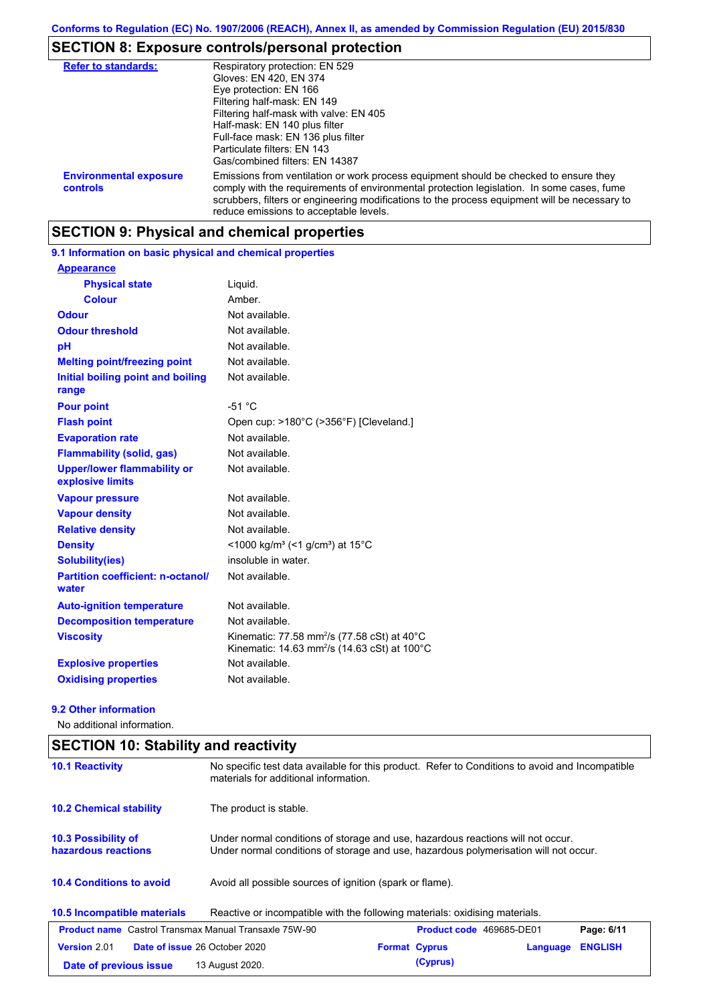# **SECTION 8: Exposure controls/personal protection**

| <b>Refer to standards:</b>                | Respiratory protection: EN 529<br>Gloves: EN 420, EN 374<br>Eye protection: EN 166<br>Filtering half-mask: EN 149<br>Filtering half-mask with valve: EN 405<br>Half-mask: EN 140 plus filter<br>Full-face mask: EN 136 plus filter<br>Particulate filters: EN 143<br>Gas/combined filters: EN 14387                           |
|-------------------------------------------|-------------------------------------------------------------------------------------------------------------------------------------------------------------------------------------------------------------------------------------------------------------------------------------------------------------------------------|
| <b>Environmental exposure</b><br>controls | Emissions from ventilation or work process equipment should be checked to ensure they<br>comply with the requirements of environmental protection legislation. In some cases, fume<br>scrubbers, filters or engineering modifications to the process equipment will be necessary to<br>reduce emissions to acceptable levels. |

### **SECTION 9: Physical and chemical properties**

### **9.1 Information on basic physical and chemical properties**

| <b>Appearance</b>                                      |                                                                                                                     |
|--------------------------------------------------------|---------------------------------------------------------------------------------------------------------------------|
| <b>Physical state</b>                                  | Liguid.                                                                                                             |
| <b>Colour</b>                                          | Amber.                                                                                                              |
| <b>Odour</b>                                           | Not available.                                                                                                      |
| <b>Odour threshold</b>                                 | Not available.                                                                                                      |
| рH                                                     | Not available.                                                                                                      |
| <b>Melting point/freezing point</b>                    | Not available.                                                                                                      |
| Initial boiling point and boiling<br>range             | Not available.                                                                                                      |
| <b>Pour point</b>                                      | $-51 °C$                                                                                                            |
| <b>Flash point</b>                                     | Open cup: >180°C (>356°F) [Cleveland.]                                                                              |
| <b>Evaporation rate</b>                                | Not available.                                                                                                      |
| <b>Flammability (solid, gas)</b>                       | Not available.                                                                                                      |
| <b>Upper/lower flammability or</b><br>explosive limits | Not available.                                                                                                      |
| <b>Vapour pressure</b>                                 | Not available.                                                                                                      |
| <b>Vapour density</b>                                  | Not available.                                                                                                      |
| <b>Relative density</b>                                | Not available.                                                                                                      |
| <b>Density</b>                                         | <1000 kg/m <sup>3</sup> (<1 g/cm <sup>3</sup> ) at 15 <sup>°</sup> C                                                |
| Solubility(ies)                                        | insoluble in water.                                                                                                 |
| <b>Partition coefficient: n-octanol/</b><br>water      | Not available.                                                                                                      |
| <b>Auto-ignition temperature</b>                       | Not available.                                                                                                      |
| <b>Decomposition temperature</b>                       | Not available.                                                                                                      |
| <b>Viscosity</b>                                       | Kinematic: 77.58 mm <sup>2</sup> /s (77.58 cSt) at 40°C<br>Kinematic: 14.63 mm <sup>2</sup> /s (14.63 cSt) at 100°C |
| <b>Explosive properties</b>                            | Not available.                                                                                                      |
| <b>Oxidising properties</b>                            | Not available.                                                                                                      |

#### **9.2 Other information**

No additional information.

| <b>SECTION 10: Stability and reactivity</b>                  |                                                                                                                                                                         |  |  |
|--------------------------------------------------------------|-------------------------------------------------------------------------------------------------------------------------------------------------------------------------|--|--|
| <b>10.1 Reactivity</b>                                       | No specific test data available for this product. Refer to Conditions to avoid and Incompatible<br>materials for additional information.                                |  |  |
| <b>10.2 Chemical stability</b>                               | The product is stable.                                                                                                                                                  |  |  |
| <b>10.3 Possibility of</b><br>hazardous reactions            | Under normal conditions of storage and use, hazardous reactions will not occur.<br>Under normal conditions of storage and use, hazardous polymerisation will not occur. |  |  |
| <b>10.4 Conditions to avoid</b>                              | Avoid all possible sources of ignition (spark or flame).                                                                                                                |  |  |
| 10.5 Incompatible materials                                  | Reactive or incompatible with the following materials: oxidising materials.                                                                                             |  |  |
| <b>Product name</b> Castrol Transmax Manual Transaxle 75W-90 | Product code 469685-DE01<br>Page: 6/11                                                                                                                                  |  |  |
| Version 2.01                                                 | Date of issue 26 October 2020<br><b>ENGLISH</b><br><b>Format Cyprus</b><br>Language                                                                                     |  |  |
| Date of previous issue                                       | (Cyprus)<br>13 August 2020.                                                                                                                                             |  |  |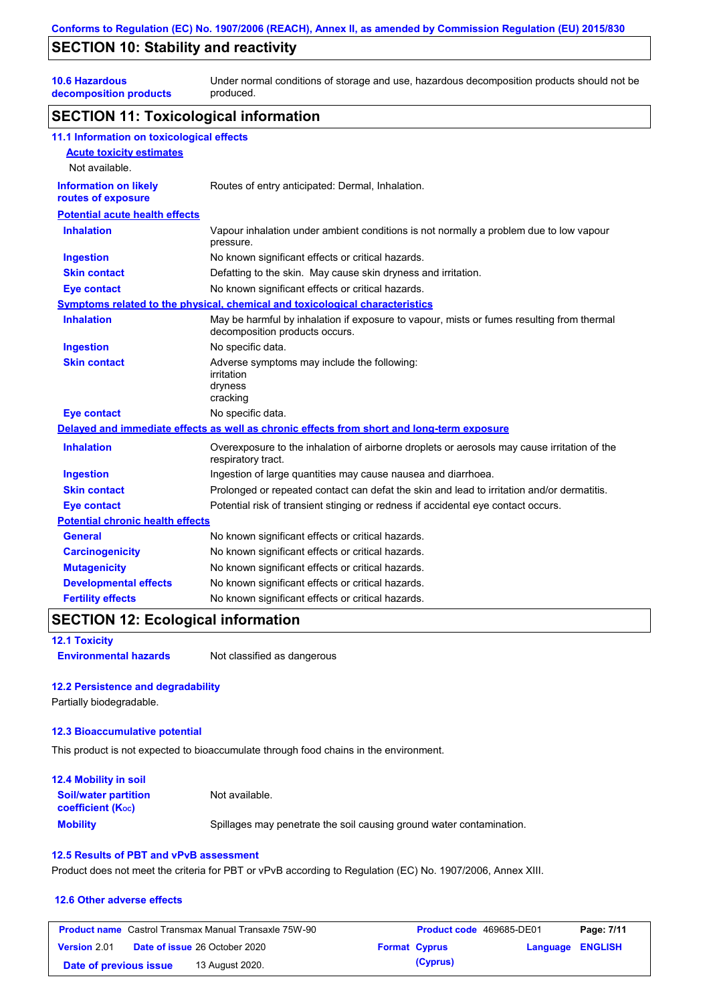### **SECTION 10: Stability and reactivity**

**10.6 Hazardous decomposition products** Under normal conditions of storage and use, hazardous decomposition products should not be produced.

#### **SECTION 11: Toxicological information**

| 11.1 Information on toxicological effects          |                                                                                                                             |
|----------------------------------------------------|-----------------------------------------------------------------------------------------------------------------------------|
| <b>Acute toxicity estimates</b>                    |                                                                                                                             |
| Not available.                                     |                                                                                                                             |
| <b>Information on likely</b><br>routes of exposure | Routes of entry anticipated: Dermal, Inhalation.                                                                            |
| <b>Potential acute health effects</b>              |                                                                                                                             |
| <b>Inhalation</b>                                  | Vapour inhalation under ambient conditions is not normally a problem due to low vapour<br>pressure.                         |
| <b>Ingestion</b>                                   | No known significant effects or critical hazards.                                                                           |
| <b>Skin contact</b>                                | Defatting to the skin. May cause skin dryness and irritation.                                                               |
| <b>Eye contact</b>                                 | No known significant effects or critical hazards.                                                                           |
|                                                    | Symptoms related to the physical, chemical and toxicological characteristics                                                |
| <b>Inhalation</b>                                  | May be harmful by inhalation if exposure to vapour, mists or fumes resulting from thermal<br>decomposition products occurs. |
| <b>Ingestion</b>                                   | No specific data.                                                                                                           |
| <b>Skin contact</b>                                | Adverse symptoms may include the following:<br>irritation<br>dryness<br>cracking                                            |
| <b>Eye contact</b>                                 | No specific data.                                                                                                           |
|                                                    | Delayed and immediate effects as well as chronic effects from short and long-term exposure                                  |
| <b>Inhalation</b>                                  | Overexposure to the inhalation of airborne droplets or aerosols may cause irritation of the<br>respiratory tract.           |
| <b>Ingestion</b>                                   | Ingestion of large quantities may cause nausea and diarrhoea.                                                               |
| <b>Skin contact</b>                                | Prolonged or repeated contact can defat the skin and lead to irritation and/or dermatitis.                                  |
| <b>Eye contact</b>                                 | Potential risk of transient stinging or redness if accidental eye contact occurs.                                           |
| <b>Potential chronic health effects</b>            |                                                                                                                             |
| <b>General</b>                                     | No known significant effects or critical hazards.                                                                           |
| <b>Carcinogenicity</b>                             | No known significant effects or critical hazards.                                                                           |
| <b>Mutagenicity</b>                                | No known significant effects or critical hazards.                                                                           |
| <b>Developmental effects</b>                       | No known significant effects or critical hazards.                                                                           |
| <b>Fertility effects</b>                           | No known significant effects or critical hazards.                                                                           |

### **SECTION 12: Ecological information**

**12.1 Toxicity**

**Environmental hazards** Not classified as dangerous

#### **12.2 Persistence and degradability**

Partially biodegradable.

#### **12.3 Bioaccumulative potential**

This product is not expected to bioaccumulate through food chains in the environment.

| <b>12.4 Mobility in soil</b>                                  |                                                                      |
|---------------------------------------------------------------|----------------------------------------------------------------------|
| <b>Soil/water partition</b><br>coefficient (K <sub>oc</sub> ) | Not available.                                                       |
| <b>Mobility</b>                                               | Spillages may penetrate the soil causing ground water contamination. |

#### **12.5 Results of PBT and vPvB assessment**

Product does not meet the criteria for PBT or vPvB according to Regulation (EC) No. 1907/2006, Annex XIII.

#### **12.6 Other adverse effects**

| <b>Product name</b> Castrol Transmax Manual Transaxle 75W-90 |  | Product code 469685-DE01             |                      | Page: 7/11 |                  |  |
|--------------------------------------------------------------|--|--------------------------------------|----------------------|------------|------------------|--|
| <b>Version 2.01</b>                                          |  | <b>Date of issue 26 October 2020</b> | <b>Format Cyprus</b> |            | Language ENGLISH |  |
| Date of previous issue                                       |  | 13 August 2020.                      |                      | (Cyprus)   |                  |  |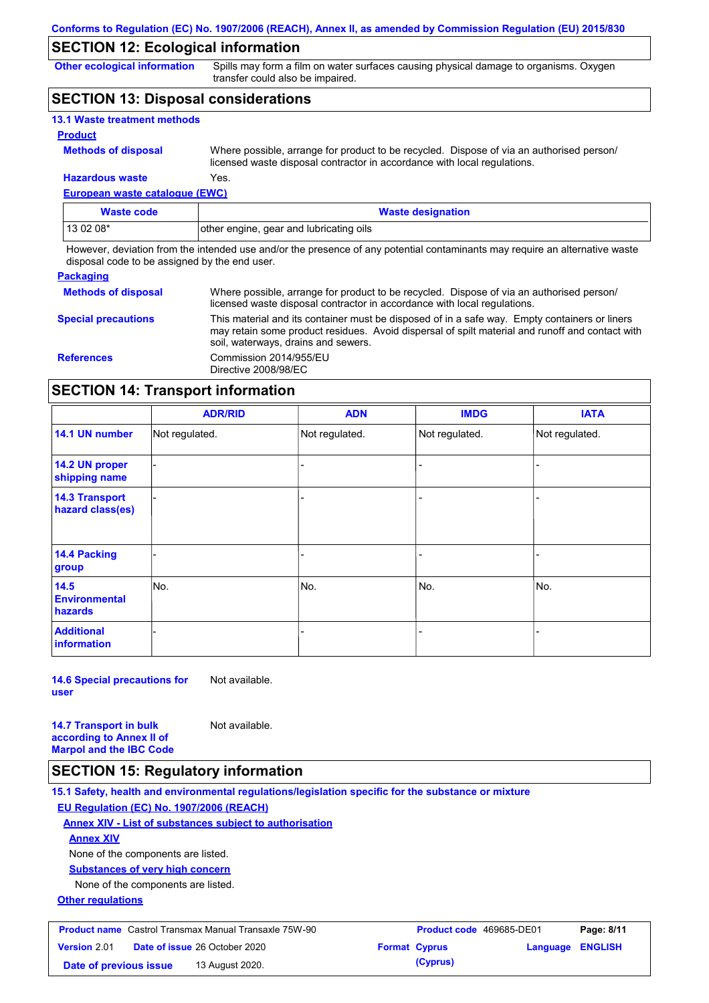### **SECTION 12: Ecological information**

**Other ecological information**

Spills may form a film on water surfaces causing physical damage to organisms. Oxygen transfer could also be impaired.

### **SECTION 13: Disposal considerations**

| <b>13.1 Waste treatment methods</b> |                                                                                                                                                                      |
|-------------------------------------|----------------------------------------------------------------------------------------------------------------------------------------------------------------------|
| <b>Product</b>                      |                                                                                                                                                                      |
| <b>Methods of disposal</b>          | Where possible, arrange for product to be recycled. Dispose of via an authorised person/<br>licensed waste disposal contractor in accordance with local regulations. |
| <b>Hazardous waste</b>              | Yes.                                                                                                                                                                 |

#### **European waste catalogue (EWC)**

| Waste code | <b>Waste designation</b>                |
|------------|-----------------------------------------|
| 13 02 08*  | other engine, gear and lubricating oils |

However, deviation from the intended use and/or the presence of any potential contaminants may require an alternative waste disposal code to be assigned by the end user.

#### **Packaging**

| <b>Methods of disposal</b> | Where possible, arrange for product to be recycled. Dispose of via an authorised person/<br>licensed waste disposal contractor in accordance with local regulations.                                                                    |
|----------------------------|-----------------------------------------------------------------------------------------------------------------------------------------------------------------------------------------------------------------------------------------|
| <b>Special precautions</b> | This material and its container must be disposed of in a safe way. Empty containers or liners<br>may retain some product residues. Avoid dispersal of spilt material and runoff and contact with<br>soil, waterways, drains and sewers. |
| <b>References</b>          | Commission 2014/955/EU<br>Directive 2008/98/EC                                                                                                                                                                                          |

### **SECTION 14: Transport information**

|                                           | <b>ADR/RID</b> | <b>ADN</b>     | <b>IMDG</b>    | <b>IATA</b>    |
|-------------------------------------------|----------------|----------------|----------------|----------------|
| 14.1 UN number                            | Not regulated. | Not regulated. | Not regulated. | Not regulated. |
| 14.2 UN proper<br>shipping name           |                |                | -              |                |
| <b>14.3 Transport</b><br>hazard class(es) |                |                | -              |                |
| <b>14.4 Packing</b><br>group              |                |                |                |                |
| 14.5<br><b>Environmental</b><br>hazards   | No.            | No.            | No.            | No.            |
| <b>Additional</b><br>information          |                |                |                |                |

**14.6 Special precautions for user** Not available.

**14.7 Transport in bulk according to Annex II of Marpol and the IBC Code** Not available.

### **SECTION 15: Regulatory information**

**15.1 Safety, health and environmental regulations/legislation specific for the substance or mixture EU Regulation (EC) No. 1907/2006 (REACH)**

**Annex XIV - List of substances subject to authorisation Annex XIV**

None of the components are listed.

**Substances of very high concern**

None of the components are listed.

**Other regulations**

| <b>Product name</b> Castrol Transmax Manual Transaxle 75W-90 |  |                                      | <b>Product code</b> 469685-DE01 |                      | Page: 8/11              |  |
|--------------------------------------------------------------|--|--------------------------------------|---------------------------------|----------------------|-------------------------|--|
| Version 2.01                                                 |  | <b>Date of issue 26 October 2020</b> |                                 | <b>Format Cyprus</b> | <b>Language ENGLISH</b> |  |
| Date of previous issue                                       |  | 13 August 2020.                      |                                 | (Cyprus)             |                         |  |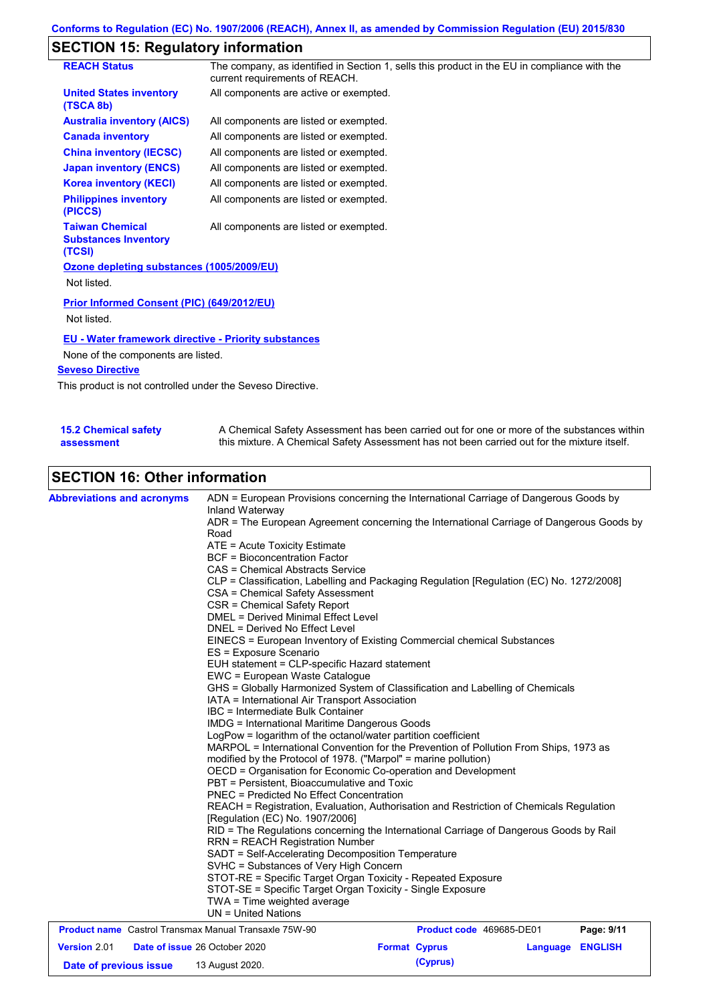# **SECTION 15: Regulatory information**

| <b>REACH Status</b>                                             | The company, as identified in Section 1, sells this product in the EU in compliance with the<br>current requirements of REACH. |
|-----------------------------------------------------------------|--------------------------------------------------------------------------------------------------------------------------------|
| <b>United States inventory</b><br>(TSCA 8b)                     | All components are active or exempted.                                                                                         |
| <b>Australia inventory (AICS)</b>                               | All components are listed or exempted.                                                                                         |
| <b>Canada inventory</b>                                         | All components are listed or exempted.                                                                                         |
| <b>China inventory (IECSC)</b>                                  | All components are listed or exempted.                                                                                         |
| <b>Japan inventory (ENCS)</b>                                   | All components are listed or exempted.                                                                                         |
| <b>Korea inventory (KECI)</b>                                   | All components are listed or exempted.                                                                                         |
| <b>Philippines inventory</b><br>(PICCS)                         | All components are listed or exempted.                                                                                         |
| <b>Taiwan Chemical</b><br><b>Substances Inventory</b><br>(TCSI) | All components are listed or exempted.                                                                                         |
| Ozone depleting substances (1005/2009/EU)                       |                                                                                                                                |
| Not listed.                                                     |                                                                                                                                |
| <b>Prior Informed Consent (PIC) (649/2012/EU)</b>               |                                                                                                                                |
| Not listed.                                                     |                                                                                                                                |
| <b>EU - Water framework directive - Priority substances</b>     |                                                                                                                                |
| None of the components are listed.                              |                                                                                                                                |
| <b>Seveso Directive</b>                                         |                                                                                                                                |

This product is not controlled under the Seveso Directive.

| <b>15.2 Chemical safety</b> | A Chemical Safety Assessment has been carried out for one or more of the substances within  |
|-----------------------------|---------------------------------------------------------------------------------------------|
| assessment                  | this mixture. A Chemical Safety Assessment has not been carried out for the mixture itself. |

# **SECTION 16: Other information**

| <b>Abbreviations and acronyms</b>                            | ADN = European Provisions concerning the International Carriage of Dangerous Goods by<br>Inland Waterway<br>ADR = The European Agreement concerning the International Carriage of Dangerous Goods by<br>Road<br>ATE = Acute Toxicity Estimate<br><b>BCF</b> = Bioconcentration Factor<br>CAS = Chemical Abstracts Service<br>CLP = Classification, Labelling and Packaging Regulation [Regulation (EC) No. 1272/2008]<br>CSA = Chemical Safety Assessment<br>CSR = Chemical Safety Report<br>DMEL = Derived Minimal Effect Level<br>DNEL = Derived No Effect Level<br>EINECS = European Inventory of Existing Commercial chemical Substances<br>ES = Exposure Scenario<br>EUH statement = CLP-specific Hazard statement<br>EWC = European Waste Catalogue<br>GHS = Globally Harmonized System of Classification and Labelling of Chemicals<br>IATA = International Air Transport Association<br>IBC = Intermediate Bulk Container<br><b>IMDG = International Maritime Dangerous Goods</b><br>LogPow = logarithm of the octanol/water partition coefficient<br>MARPOL = International Convention for the Prevention of Pollution From Ships, 1973 as<br>modified by the Protocol of 1978. ("Marpol" = marine pollution)<br>OECD = Organisation for Economic Co-operation and Development<br>PBT = Persistent, Bioaccumulative and Toxic<br><b>PNEC = Predicted No Effect Concentration</b><br>REACH = Registration, Evaluation, Authorisation and Restriction of Chemicals Regulation<br>[Regulation (EC) No. 1907/2006]<br>RID = The Regulations concerning the International Carriage of Dangerous Goods by Rail<br><b>RRN = REACH Registration Number</b><br>SADT = Self-Accelerating Decomposition Temperature<br>SVHC = Substances of Very High Concern<br>STOT-RE = Specific Target Organ Toxicity - Repeated Exposure<br>STOT-SE = Specific Target Organ Toxicity - Single Exposure<br>TWA = Time weighted average<br>$UN = United Nations$ |                                  |                  |            |
|--------------------------------------------------------------|---------------------------------------------------------------------------------------------------------------------------------------------------------------------------------------------------------------------------------------------------------------------------------------------------------------------------------------------------------------------------------------------------------------------------------------------------------------------------------------------------------------------------------------------------------------------------------------------------------------------------------------------------------------------------------------------------------------------------------------------------------------------------------------------------------------------------------------------------------------------------------------------------------------------------------------------------------------------------------------------------------------------------------------------------------------------------------------------------------------------------------------------------------------------------------------------------------------------------------------------------------------------------------------------------------------------------------------------------------------------------------------------------------------------------------------------------------------------------------------------------------------------------------------------------------------------------------------------------------------------------------------------------------------------------------------------------------------------------------------------------------------------------------------------------------------------------------------------------------------------------------------------------------------------------------------------------|----------------------------------|------------------|------------|
| <b>Product name</b> Castrol Transmax Manual Transaxle 75W-90 |                                                                                                                                                                                                                                                                                                                                                                                                                                                                                                                                                                                                                                                                                                                                                                                                                                                                                                                                                                                                                                                                                                                                                                                                                                                                                                                                                                                                                                                                                                                                                                                                                                                                                                                                                                                                                                                                                                                                                   | Product code 469685-DE01         |                  | Page: 9/11 |
| <b>Version 2.01</b><br>Date of previous issue                | Date of issue 26 October 2020<br>13 August 2020.                                                                                                                                                                                                                                                                                                                                                                                                                                                                                                                                                                                                                                                                                                                                                                                                                                                                                                                                                                                                                                                                                                                                                                                                                                                                                                                                                                                                                                                                                                                                                                                                                                                                                                                                                                                                                                                                                                  | <b>Format Cyprus</b><br>(Cyprus) | Language ENGLISH |            |
|                                                              |                                                                                                                                                                                                                                                                                                                                                                                                                                                                                                                                                                                                                                                                                                                                                                                                                                                                                                                                                                                                                                                                                                                                                                                                                                                                                                                                                                                                                                                                                                                                                                                                                                                                                                                                                                                                                                                                                                                                                   |                                  |                  |            |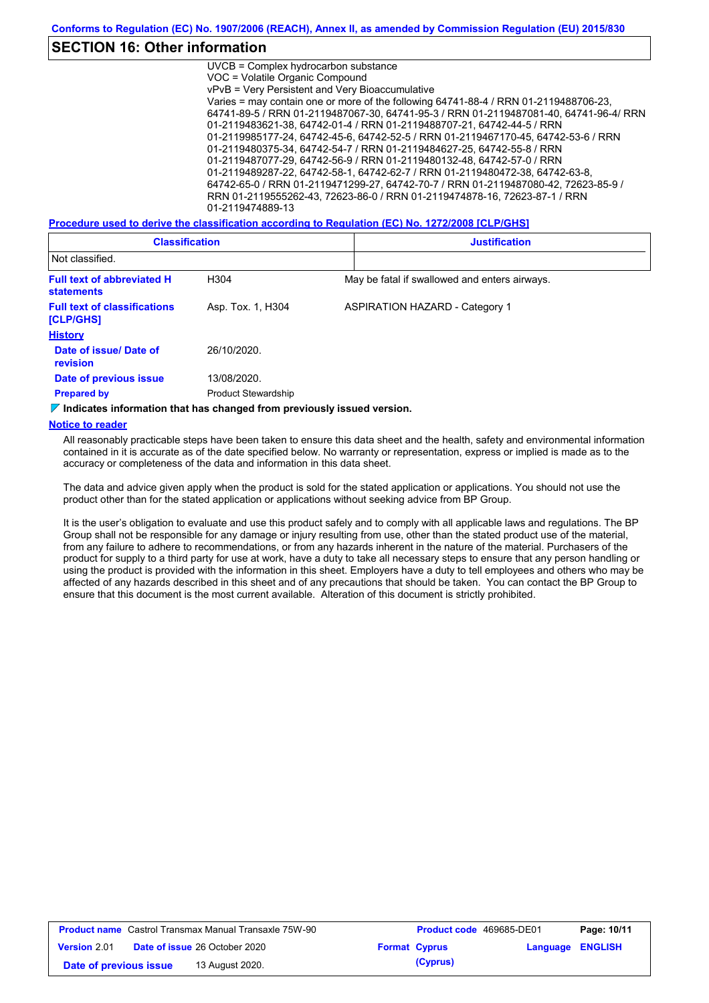### **SECTION 16: Other information**

| UVCB = Complex hydrocarbon substance                                                  |
|---------------------------------------------------------------------------------------|
| VOC = Volatile Organic Compound                                                       |
| vPvB = Very Persistent and Very Bioaccumulative                                       |
| Varies = may contain one or more of the following 64741-88-4 / RRN 01-2119488706-23,  |
| 64741-89-5 / RRN 01-2119487067-30, 64741-95-3 / RRN 01-2119487081-40, 64741-96-4/ RRN |
| 01-2119483621-38, 64742-01-4 / RRN 01-2119488707-21, 64742-44-5 / RRN                 |
| 01-2119985177-24, 64742-45-6, 64742-52-5 / RRN 01-2119467170-45, 64742-53-6 / RRN     |
| 01-2119480375-34, 64742-54-7 / RRN 01-2119484627-25, 64742-55-8 / RRN                 |
| 01-2119487077-29, 64742-56-9 / RRN 01-2119480132-48, 64742-57-0 / RRN                 |
| 01-2119489287-22, 64742-58-1, 64742-62-7 / RRN 01-2119480472-38, 64742-63-8,          |
| 64742-65-0 / RRN 01-2119471299-27, 64742-70-7 / RRN 01-2119487080-42, 72623-85-9 /    |
| RRN 01-2119555262-43, 72623-86-0 / RRN 01-2119474878-16, 72623-87-1 / RRN             |
| 01-2119474889-13                                                                      |
|                                                                                       |

**Procedure used to derive the classification according to Regulation (EC) No. 1272/2008 [CLP/GHS]**

| <b>Classification</b>                                  | <b>Justification</b>       |                                               |
|--------------------------------------------------------|----------------------------|-----------------------------------------------|
| Not classified.                                        |                            |                                               |
| <b>Full text of abbreviated H</b><br><b>statements</b> | H304                       | May be fatal if swallowed and enters airways. |
| <b>Full text of classifications</b><br>[CLP/GHS]       | Asp. Tox. 1, H304          | <b>ASPIRATION HAZARD - Category 1</b>         |
| <b>History</b>                                         |                            |                                               |
| Date of issue/ Date of<br>revision                     | 26/10/2020.                |                                               |
| Date of previous issue                                 | 13/08/2020.                |                                               |
| <b>Prepared by</b>                                     | <b>Product Stewardship</b> |                                               |

#### **Indicates information that has changed from previously issued version.**

#### **Notice to reader**

All reasonably practicable steps have been taken to ensure this data sheet and the health, safety and environmental information contained in it is accurate as of the date specified below. No warranty or representation, express or implied is made as to the accuracy or completeness of the data and information in this data sheet.

The data and advice given apply when the product is sold for the stated application or applications. You should not use the product other than for the stated application or applications without seeking advice from BP Group.

It is the user's obligation to evaluate and use this product safely and to comply with all applicable laws and regulations. The BP Group shall not be responsible for any damage or injury resulting from use, other than the stated product use of the material, from any failure to adhere to recommendations, or from any hazards inherent in the nature of the material. Purchasers of the product for supply to a third party for use at work, have a duty to take all necessary steps to ensure that any person handling or using the product is provided with the information in this sheet. Employers have a duty to tell employees and others who may be affected of any hazards described in this sheet and of any precautions that should be taken. You can contact the BP Group to ensure that this document is the most current available. Alteration of this document is strictly prohibited.

| <b>Product name</b> Castrol Transmax Manual Transaxle 75W-90 |                                      |  | <b>Product code</b> 469685-DE01 |                         | Page: 10/11 |
|--------------------------------------------------------------|--------------------------------------|--|---------------------------------|-------------------------|-------------|
| <b>Version 2.01</b>                                          | <b>Date of issue 26 October 2020</b> |  | <b>Format Cyprus</b>            | <b>Language ENGLISH</b> |             |
| Date of previous issue                                       | 13 August 2020.                      |  | (Cyprus)                        |                         |             |